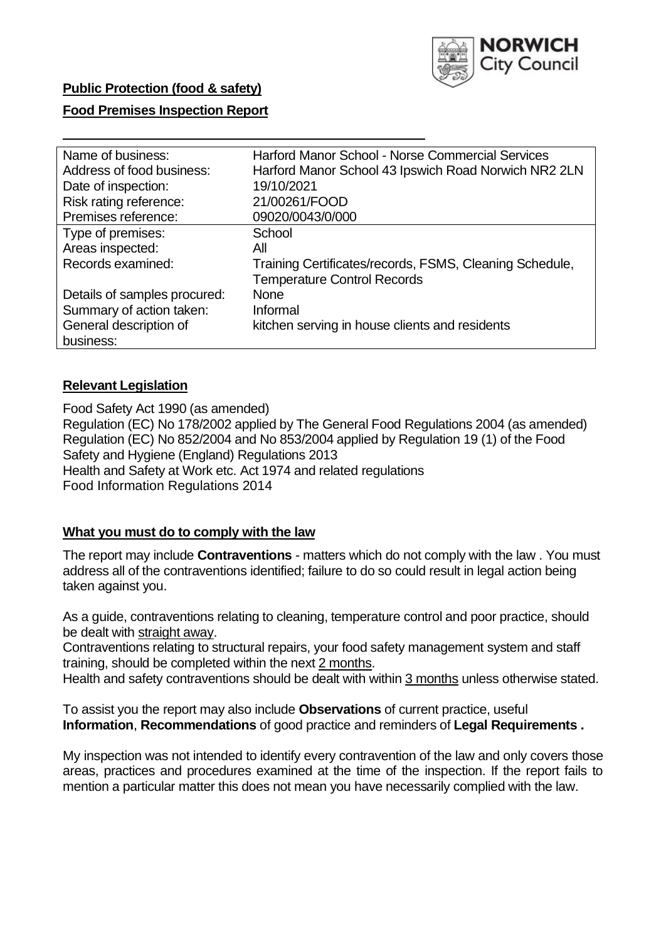

# **Public Protection (food & safety)**

# **Food Premises Inspection Report**

| Name of business:            | <b>Harford Manor School - Norse Commercial Services</b> |
|------------------------------|---------------------------------------------------------|
| Address of food business:    | Harford Manor School 43 Ipswich Road Norwich NR2 2LN    |
| Date of inspection:          | 19/10/2021                                              |
| Risk rating reference:       | 21/00261/FOOD                                           |
| Premises reference:          | 09020/0043/0/000                                        |
| Type of premises:            | School                                                  |
| Areas inspected:             | All                                                     |
| Records examined:            | Training Certificates/records, FSMS, Cleaning Schedule, |
|                              | <b>Temperature Control Records</b>                      |
| Details of samples procured: | <b>None</b>                                             |
| Summary of action taken:     | Informal                                                |
| General description of       | kitchen serving in house clients and residents          |
| business:                    |                                                         |

# **Relevant Legislation**

 Food Safety Act 1990 (as amended) Regulation (EC) No 178/2002 applied by The General Food Regulations 2004 (as amended) Regulation (EC) No 852/2004 and No 853/2004 applied by Regulation 19 (1) of the Food Safety and Hygiene (England) Regulations 2013 Health and Safety at Work etc. Act 1974 and related regulations Food Information Regulations 2014

# **What you must do to comply with the law**

 The report may include **Contraventions** - matters which do not comply with the law . You must address all of the contraventions identified; failure to do so could result in legal action being taken against you.

 As a guide, contraventions relating to cleaning, temperature control and poor practice, should be dealt with straight away.

 Contraventions relating to structural repairs, your food safety management system and staff training, should be completed within the next 2 months.

Health and safety contraventions should be dealt with within 3 months unless otherwise stated.

 To assist you the report may also include **Observations** of current practice, useful **Information**, **Recommendations** of good practice and reminders of **Legal Requirements .** 

 My inspection was not intended to identify every contravention of the law and only covers those areas, practices and procedures examined at the time of the inspection. If the report fails to mention a particular matter this does not mean you have necessarily complied with the law.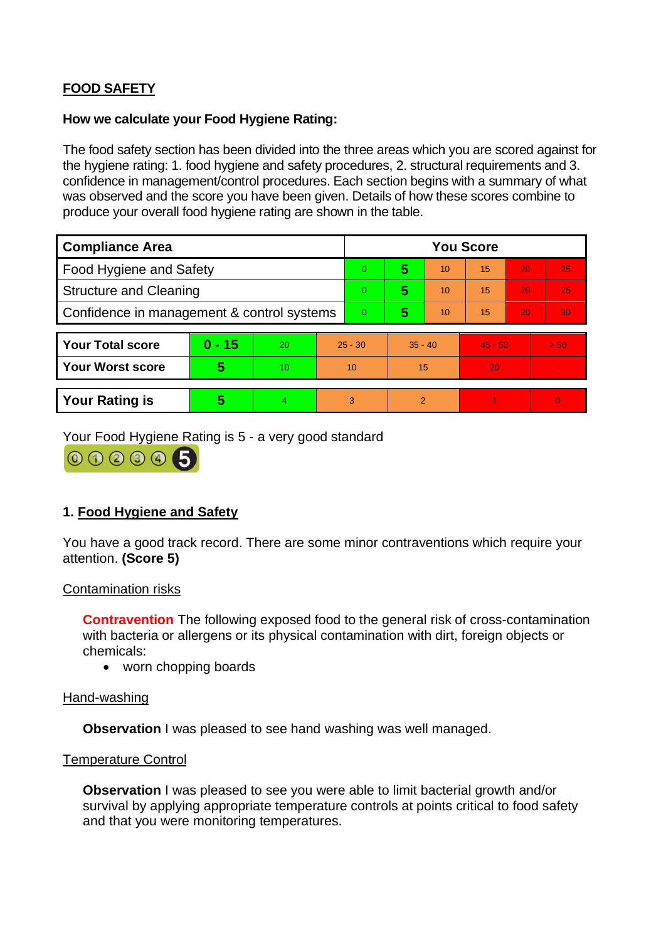# **FOOD SAFETY**

# **How we calculate your Food Hygiene Rating:**

 The food safety section has been divided into the three areas which you are scored against for the hygiene rating: 1. food hygiene and safety procedures, 2. structural requirements and 3. confidence in management/control procedures. Each section begins with a summary of what was observed and the score you have been given. Details of how these scores combine to produce your overall food hygiene rating are shown in the table.

| <b>Compliance Area</b>                     |          |    |                | <b>You Score</b> |           |                |           |    |                |  |  |
|--------------------------------------------|----------|----|----------------|------------------|-----------|----------------|-----------|----|----------------|--|--|
| Food Hygiene and Safety                    |          |    |                | $\Omega$         | 5         | 10             | 15        | 20 | 25             |  |  |
| <b>Structure and Cleaning</b>              |          |    | $\Omega$       | 5                | 10        | 15             | 20        | 25 |                |  |  |
| Confidence in management & control systems |          |    | $\overline{0}$ | 5                | 10        | 15             | 20        | 30 |                |  |  |
|                                            |          |    |                |                  |           |                |           |    |                |  |  |
| <b>Your Total score</b>                    | $0 - 15$ | 20 | $25 - 30$      |                  | $35 - 40$ |                | $45 - 50$ |    | > 50           |  |  |
| <b>Your Worst score</b>                    | 5        | 10 | 10             |                  | 15        |                | 20        |    |                |  |  |
|                                            |          |    |                |                  |           |                |           |    |                |  |  |
| <b>Your Rating is</b>                      | 5        | 4. |                | 3                |           | $\overline{2}$ |           |    | $\overline{0}$ |  |  |

Your Food Hygiene Rating is 5 - a very good standard

000005

# **1. Food Hygiene and Safety**

You have a good track record. There are some minor contraventions which require your attention. **(Score 5)** 

## Contamination risks

 with bacteria or allergens or its physical contamination with dirt, foreign objects or **Contravention** The following exposed food to the general risk of cross-contamination chemicals:

• worn chopping boards

## Hand-washing

**Observation** I was pleased to see hand washing was well managed.

## Temperature Control

**Observation** I was pleased to see you were able to limit bacterial growth and/or survival by applying appropriate temperature controls at points critical to food safety and that you were monitoring temperatures.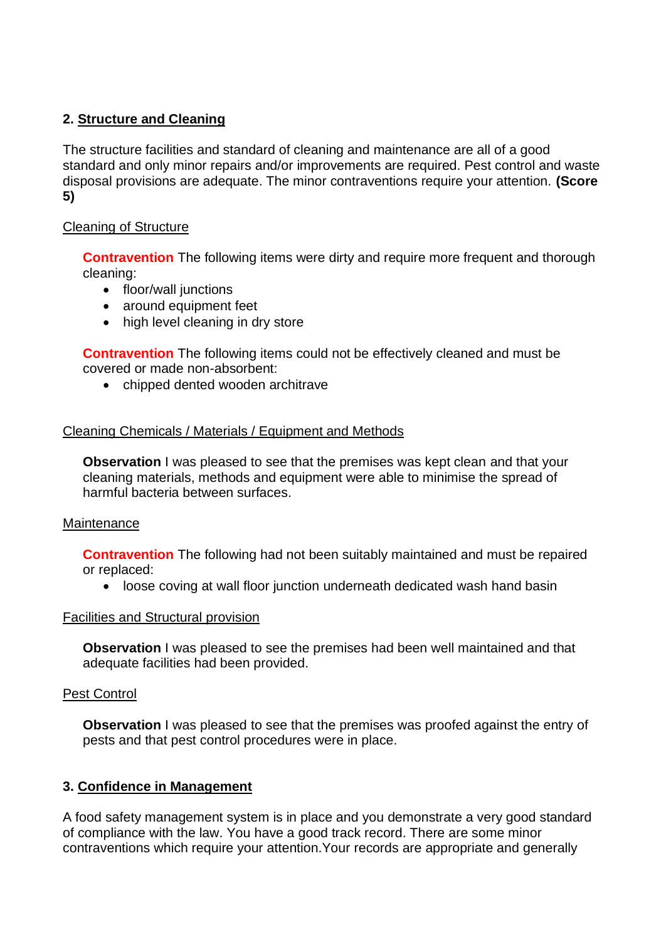# **2. Structure and Cleaning**

The structure facilities and standard of cleaning and maintenance are all of a good standard and only minor repairs and/or improvements are required. Pest control and waste disposal provisions are adequate. The minor contraventions require your attention. **(Score 5)** 

## Cleaning of Structure

**Contravention** The following items were dirty and require more frequent and thorough cleaning:

- floor/wall junctions
- around equipment feet
- high level cleaning in dry store

**Contravention** The following items could not be effectively cleaned and must be covered or made non-absorbent:

• chipped dented wooden architrave

## Cleaning Chemicals / Materials / Equipment and Methods

**Observation I** was pleased to see that the premises was kept clean and that your cleaning materials, methods and equipment were able to minimise the spread of harmful bacteria between surfaces.

## Maintenance

**Contravention** The following had not been suitably maintained and must be repaired or replaced:

• loose coving at wall floor junction underneath dedicated wash hand basin

## Facilities and Structural provision

**Observation** I was pleased to see the premises had been well maintained and that adequate facilities had been provided.

## Pest Control

**Observation** I was pleased to see that the premises was proofed against the entry of pests and that pest control procedures were in place.

# **3. Confidence in Management**

 of compliance with the law. You have a good track record. There are some minor A food safety management system is in place and you demonstrate a very good standard contraventions which require your attention.Your records are appropriate and generally